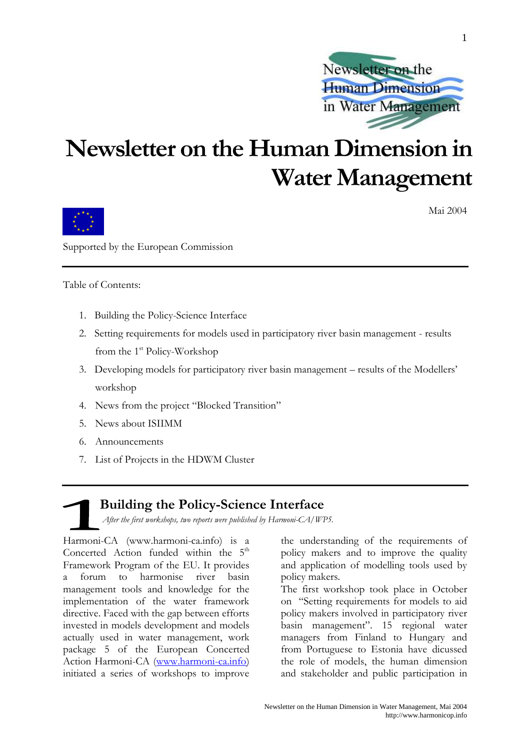

# Newsletter on the Human Dimension in **Water Management**



Mai 2004

Supported by the European Commission

Table of Contents:

- 1. Building the Policy-Science Interface
- 2. Setting requirements for models used in participatory river basin management results from the 1<sup>st</sup> Policy-Workshop
- 3. Developing models for participatory river basin management results of the Modellers' workshop
- 4. News from the project "Blocked Transition"
- 5. News about ISHMM
- 6. Announcements
- 7. List of Projects in the HDWM Cluster

# **Building the Policy-Science Interface**

After the first workshops, two reports were published by Harmoni-CA/WP5.

Harmoni-CA (www.harmoni-ca.info) is a Concerted Action funded within the 5<sup>th</sup> Framework Program of the EU. It provides forum to harmonise river basin <sub>a</sub> management tools and knowledge for the implementation of the water framework directive. Faced with the gap between efforts invested in models development and models actually used in water management, work package 5 of the European Concerted Action Harmoni-CA (www.harmoni-ca.info) initiated a series of workshops to improve

the understanding of the requirements of policy makers and to improve the quality and application of modelling tools used by policy makers.

The first workshop took place in October on "Setting requirements for models to aid policy makers involved in participatory river basin management". 15 regional water managers from Finland to Hungary and from Portuguese to Estonia have dicussed the role of models, the human dimension and stakeholder and public participation in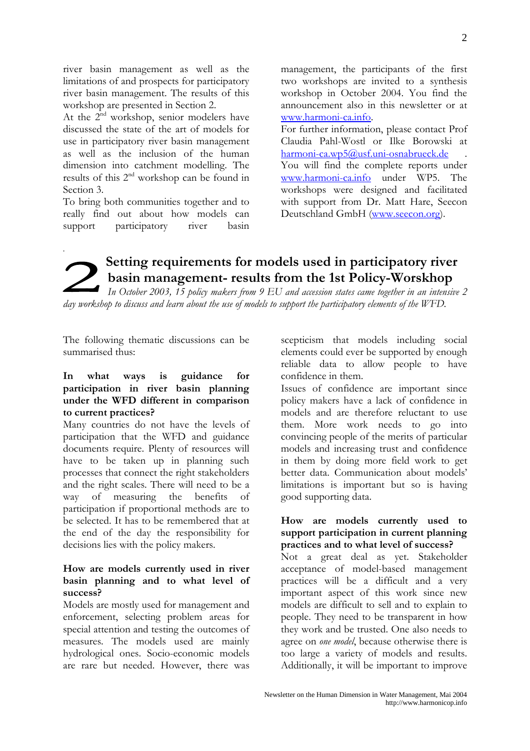river basin management as well as the limitations of and prospects for participatory river basin management. The results of this workshop are presented in Section 2.

At the 2<sup>nd</sup> workshop, senior modelers have discussed the state of the art of models for use in participatory river basin management as well as the inclusion of the human dimension into catchment modelling. The results of this 2<sup>nd</sup> workshop can be found in Section 3.

To bring both communities together and to really find out about how models can support participatory river basin

management, the participants of the first two workshops are invited to a synthesis workshop in October 2004. You find the announcement also in this newsletter or at www.harmoni-ca.info.

For further information, please contact Prof Claudia Pahl-Wostl or Ilke Borowski at harmoni-ca.wp5@usf.uni-osnabrueck.de You will find the complete reports under www.harmoni-ca.info under WP5. The workshops were designed and facilitated with support from Dr. Matt Hare, Seecon Deutschland GmbH (www.seecon.org).

# Setting requirements for models used in participatory river basin management- results from the 1st Policy-Worskhop

In October 2003, 15 policy makers from 9 EU and accession states came together in an intensive 2 day workshop to discuss and learn about the use of models to support the participatory elements of the WFD.

The following thematic discussions can be summarised thus:

#### In what ways is guidance for participation in river basin planning under the WFD different in comparison to current practices?

Many countries do not have the levels of participation that the WFD and guidance documents require. Plenty of resources will have to be taken up in planning such processes that connect the right stakeholders and the right scales. There will need to be a  $\alpha$ way of measuring the benefits participation if proportional methods are to be selected. It has to be remembered that at the end of the day the responsibility for decisions lies with the policy makers.

# How are models currently used in river basin planning and to what level of success?

Models are mostly used for management and enforcement, selecting problem areas for special attention and testing the outcomes of measures. The models used are mainly hydrological ones. Socio-economic models are rare but needed. However, there was

scepticism that models including social elements could ever be supported by enough reliable data to allow people to have confidence in them.

Issues of confidence are important since policy makers have a lack of confidence in models and are therefore reluctant to use them. More work needs to go into convincing people of the merits of particular models and increasing trust and confidence in them by doing more field work to get better data. Communication about models' limitations is important but so is having good supporting data.

# How are models currently used to support participation in current planning practices and to what level of success?

Not a great deal as yet. Stakeholder acceptance of model-based management practices will be a difficult and a very important aspect of this work since new models are difficult to sell and to explain to people. They need to be transparent in how they work and be trusted. One also needs to agree on *one model*, because otherwise there is too large a variety of models and results. Additionally, it will be important to improve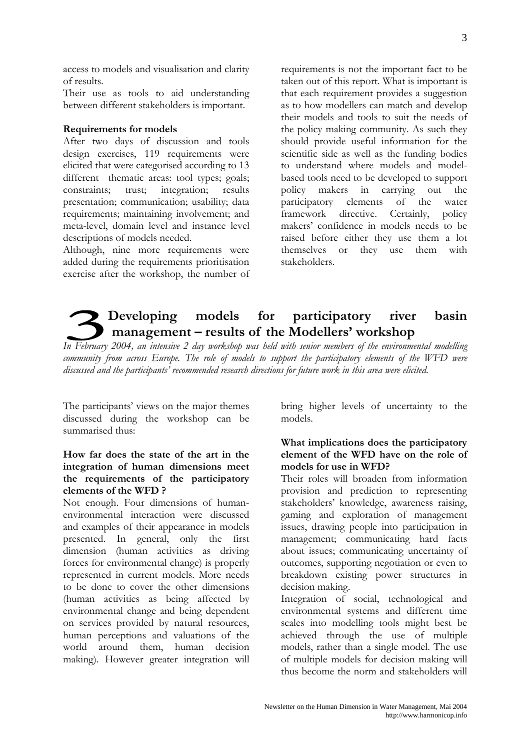Developing models for participatory

discussed and the participants' recommended research directions for future work in this area were elicited.

management – results of the Modellers' workshop In February 2004, an intensive 2 day workshop was held with senior members of the environmental modelling community from across Europe. The role of models to support the participatory elements of the WFD were

How far does the state of the art in the integration of human dimensions meet the requirements of the participatory elements of the WFD?

The participants' views on the major themes

discussed during the workshop can be

summarised thus:

Not enough. Four dimensions of humanenvironmental interaction were discussed and examples of their appearance in models presented. In general, only the first dimension (human activities as driving forces for environmental change) is properly represented in current models. More needs to be done to cover the other dimensions (human activities as being affected by environmental change and being dependent on services provided by natural resources, human perceptions and valuations of the world around them, human decision making). However greater integration will

bring higher levels of uncertainty to the models

river

basin

# What implications does the participatory element of the WFD have on the role of models for use in WFD?

Their roles will broaden from information provision and prediction to representing stakeholders' knowledge, awareness raising, gaming and exploration of management issues, drawing people into participation in management; communicating hard facts about issues; communicating uncertainty of outcomes, supporting negotiation or even to breakdown existing power structures in decision making.

Integration of social, technological and environmental systems and different time scales into modelling tools might best be achieved through the use of multiple models, rather than a single model. The use of multiple models for decision making will thus become the norm and stakeholders will

requirements is not the important fact to be taken out of this report. What is important is that each requirement provides a suggestion as to how modellers can match and develop their models and tools to suit the needs of the policy making community. As such they should provide useful information for the scientific side as well as the funding bodies to understand where models and modelbased tools need to be developed to support policy makers in carrying out the participatory elements of the water framework directive. Certainly, policy makers' confidence in models needs to be raised before either they use them a lot themselves or they use them with stakeholders

#### access to models and visualisation and clarity of results.

Their use as tools to aid understanding between different stakeholders is important.

# **Requirements for models**

After two days of discussion and tools design exercises, 119 requirements were elicited that were categorised according to 13 different thematic areas: tool types; goals; integration; constraints; trust; results presentation; communication; usability; data requirements: maintaining involvement: and meta-level, domain level and instance level descriptions of models needed.

Although, nine more requirements were added during the requirements prioritisation exercise after the workshop, the number of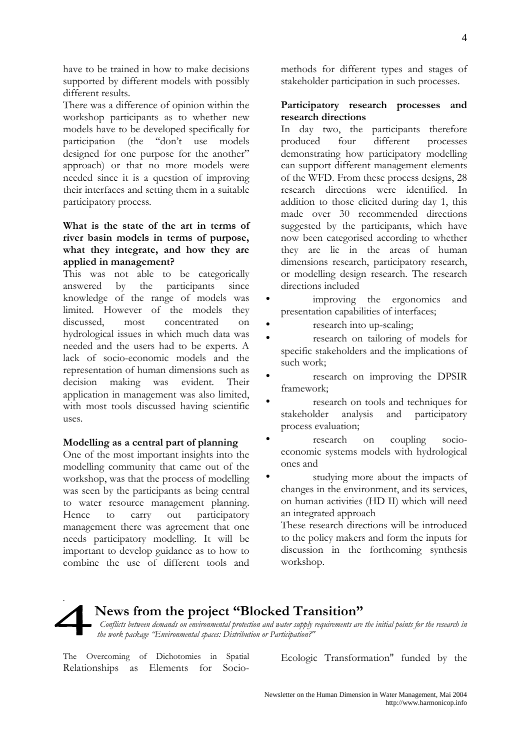have to be trained in how to make decisions supported by different models with possibly different results.

There was a difference of opinion within the workshop participants as to whether new models have to be developed specifically for participation (the "don't use models designed for one purpose for the another" approach) or that no more models were needed since it is a question of improving their interfaces and setting them in a suitable participatory process.

# What is the state of the art in terms of river basin models in terms of purpose, what they integrate, and how they are applied in management?

This was not able to be categorically answered  $\mathbf{b}$ the participants since knowledge of the range of models was limited. However of the models they concentrated discussed. most  $\cap$ n hydrological issues in which much data was needed and the users had to be experts. A lack of socio-economic models and the representation of human dimensions such as decision was evident. making Their application in management was also limited, with most tools discussed having scientific uses.

### Modelling as a central part of planning

One of the most important insights into the modelling community that came out of the workshop, was that the process of modelling was seen by the participants as being central to water resource management planning. out participatory Hence to carry management there was agreement that one needs participatory modelling. It will be important to develop guidance as to how to combine the use of different tools and

methods for different types and stages of stakeholder participation in such processes.

### Participatory research processes and research directions

In day two, the participants therefore four different produced processes demonstrating how participatory modelling can support different management elements of the WFD. From these process designs, 28 research directions were identified. In addition to those elicited during day 1, this made over 30 recommended directions suggested by the participants, which have now been categorised according to whether they are lie in the areas of human dimensions research, participatory research, or modelling design research. The research directions included

- improving the ergonomics and presentation capabilities of interfaces;
- research into up-scaling;
- research on tailoring of models for specific stakeholders and the implications of such work:
- research on improving the DPSIR framework;
- research on tools and techniques for stakeholder analysis and participatory process evaluation;
- research coupling socioon economic systems models with hydrological ones and
- $\bullet$ studying more about the impacts of changes in the environment, and its services, on human activities (HD II) which will need an integrated approach

These research directions will be introduced to the policy makers and form the inputs for discussion in the forthcoming synthesis workshop.

# News from the project "Blocked Transition" Conflicts between demands on environmental protection and water supply requirements are the initial points for the research in the work package "Environmental spaces: Distribution or Participation?"

The Overcoming of Dichotomies in Spatial Relationships as Elements for SocioEcologic Transformation" funded by the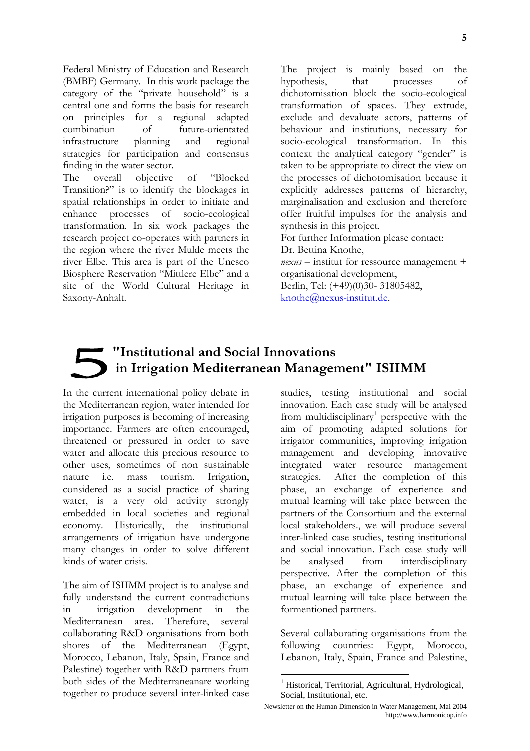Federal Ministry of Education and Research (BMBF) Germany. In this work package the category of the "private household" is a central one and forms the basis for research on principles for a regional adapted future-orientated combination of infrastructure and regional planning strategies for participation and consensus finding in the water sector. overall objective The T of "Blocked" Transition?" is to identify the blockages in spatial relationships in order to initiate and enhance processes of socio-ecological transformation. In six work packages the research project co-operates with partners in the region where the river Mulde meets the river Elbe. This area is part of the Unesco Biosphere Reservation "Mittlere Elbe" and a site of the World Cultural Heritage in Saxony-Anhalt.

The project is mainly based on the hypothesis, that processes  $\alpha$ f dichotomisation block the socio-ecological transformation of spaces. They extrude, exclude and devaluate actors, patterns of behaviour and institutions, necessary for socio-ecological transformation. In this context the analytical category "gender" is taken to be appropriate to direct the view on the processes of dichotomisation because it explicitly addresses patterns of hierarchy, marginalisation and exclusion and therefore offer fruitful impulses for the analysis and synthesis in this project. For further Information please contact: Dr. Bettina Knothe.  $nexus$  – institut for ressource management + organisational development, Berlin, Tel: (+49)(0)30-31805482,

knothe@nexus-institut.de.

# "Institutional and Social Innovations in Irrigation Mediterranean Management" ISIIMM

In the current international policy debate in the Mediterranean region, water intended for irrigation purposes is becoming of increasing importance. Farmers are often encouraged, threatened or pressured in order to save water and allocate this precious resource to other uses, sometimes of non sustainable mass nature *i.e.* tourism. Irrigation, considered as a social practice of sharing water, is a very old activity strongly embedded in local societies and regional economy. Historically, the institutional arrangements of irrigation have undergone many changes in order to solve different kinds of water crisis.

The aim of ISIIMM project is to analyse and fully understand the current contradictions development  $\overline{\text{in}}$ irrigation  $in$ the Therefore. Mediterranean area. several collaborating R&D organisations from both shores of the Mediterranean (Egypt, Morocco, Lebanon, Italy, Spain, France and Palestine) together with R&D partners from both sides of the Mediterraneanare working together to produce several inter-linked case

studies, testing institutional and social innovation. Each case study will be analysed from multidisciplinary<sup>1</sup> perspective with the aim of promoting adapted solutions for irrigator communities, improving irrigation management and developing innovative integrated water resource management strategies. After the completion of this phase, an exchange of experience and mutual learning will take place between the partners of the Consortium and the external local stakeholders., we will produce several inter-linked case studies, testing institutional and social innovation. Each case study will from interdisciplinary be analysed perspective. After the completion of this phase, an exchange of experience and mutual learning will take place between the formentioned partners.

Several collaborating organisations from the countries: Egypt, following Morocco, Lebanon, Italy, Spain, France and Palestine,

Newsletter on the Human Dimension in Water Management, Mai 2004 http://www.harmonicop.info

<sup>&</sup>lt;sup>1</sup> Historical, Territorial, Agricultural, Hydrological, Social, Institutional, etc.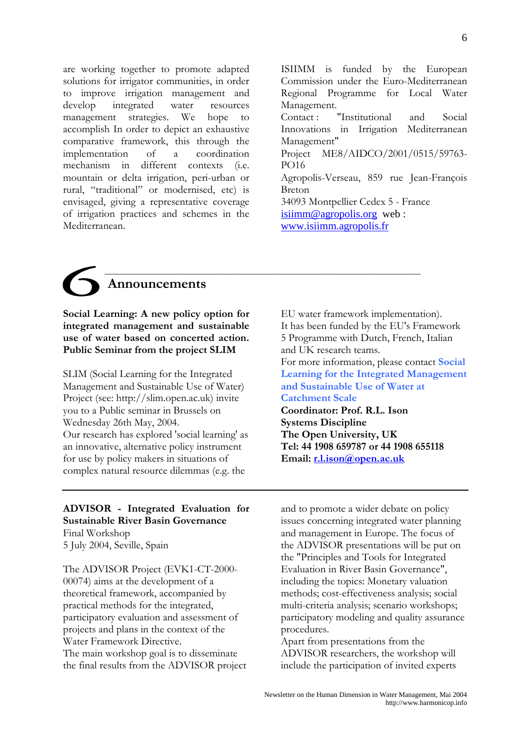are working together to promote adapted solutions for irrigator communities, in order to improve irrigation management and develop integrated water resources management strategies. We hope  $t_0$ accomplish In order to depict an exhaustive comparative framework, this through the implementation  $\alpha$ f  $\overline{a}$ coordination mechanism in different contexts  $6.e.$ mountain or delta irrigation, peri-urban or rural, "traditional" or modernised, etc) is envisaged, giving a representative coverage of irrigation practices and schemes in the Mediterranean.

ISIIMM is funded by the European Commission under the Euro-Mediterranean Regional Programme for Local Water Management. Contact: "Institutional and Social Innovations in Irrigation Mediterranean Management" Project ME8/AIDCO/2001/0515/59763-**PO16** Agropolis-Verseau, 859 rue Jean-François Breton 34093 Montpellier Cedex 5 - France  $isimm@agropolis.org$  web: www.isiimm.agropolis.fr

# Announcements

Social Learning: A new policy option for integrated management and sustainable use of water based on concerted action. **Public Seminar from the project SLIM** 

SLIM (Social Learning for the Integrated Management and Sustainable Use of Water) Project (see: http://slim.open.ac.uk) invite vou to a Public seminar in Brussels on Wednesday 26th May, 2004. Our research has explored 'social learning' as an innovative, alternative policy instrument for use by policy makers in situations of complex natural resource dilemmas (e.g. the

EU water framework implementation). It has been funded by the EU's Framework 5 Programme with Dutch, French, Italian and UK research teams. For more information, please contact Social **Learning for the Integrated Management** and Sustainable Use of Water at **Catchment Scale** Coordinator: Prof. R.L. Ison **Systems Discipline** The Open University, UK Tel: 44 1908 659787 or 44 1908 655118 Email: r.l.ison@open.ac.uk

# ADVISOR - Integrated Evaluation for **Sustainable River Basin Governance**

Final Workshop 5 July 2004, Seville, Spain

The ADVISOR Project (EVK1-CT-2000-00074) aims at the development of a theoretical framework, accompanied by practical methods for the integrated, participatory evaluation and assessment of projects and plans in the context of the Water Framework Directive The main workshop goal is to disseminate the final results from the ADVISOR project

and to promote a wider debate on policy issues concerning integrated water planning and management in Europe. The focus of the ADVISOR presentations will be put on the "Principles and Tools for Integrated Evaluation in River Basin Governance", including the topics: Monetary valuation methods; cost-effectiveness analysis; social multi-criteria analysis; scenario workshops; participatory modeling and quality assurance procedures.

Apart from presentations from the ADVISOR researchers, the workshop will include the participation of invited experts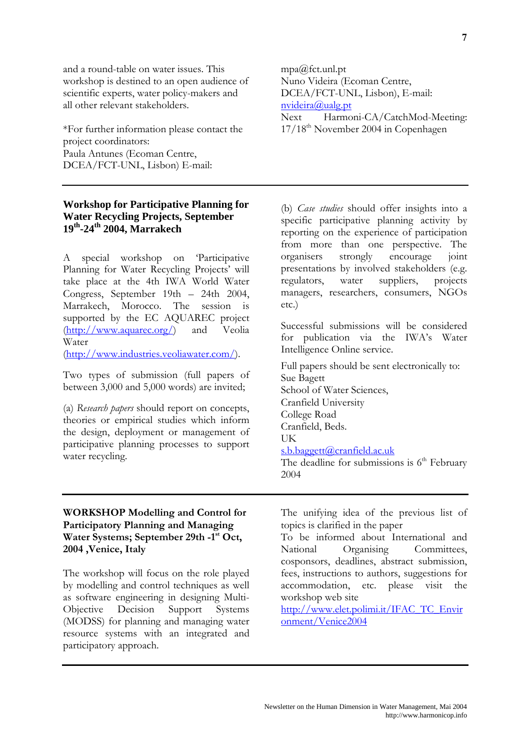and a round-table on water issues. This workshop is destined to an open audience of scientific experts, water policy-makers and all other relevant stakeholders.

\*For further information please contact the project coordinators: Paula Antunes (Ecoman Centre, DCEA/FCT-UNL, Lisbon) E-mail:

# **Workshop for Participative Planning for Water Recycling Projects, September**  $19<sup>th</sup>$ -24<sup>th</sup> 2004, Marrakech

A special workshop on Participative Planning for Water Recycling Projects' will take place at the 4th IWA World Water Congress, September 19th - 24th 2004, Marrakech, Morocco. The session is supported by the EC AQUAREC project  $(\text{http://www.aquare.org/})$ and Veolia Water

(http://www.industries.veoliawater.com/).

Two types of submission (full papers of between 3,000 and 5,000 words) are invited:

(a) Research papers should report on concepts, theories or empirical studies which inform the design, deployment or management of participative planning processes to support water recycling.

mpa@fct.unl.pt Nuno Videira (Ecoman Centre, DCEA/FCT-UNL, Lisbon), E-mail:  $n$ videira@ualg.nt Harmoni-CA/CatchMod-Meeting: **Next** 

17/18<sup>th</sup> November 2004 in Copenhagen

(b) Case studies should offer insights into a specific participative planning activity by reporting on the experience of participation from more than one perspective. The organisers strongly encourage ioint presentations by involved stakeholders (e.g. suppliers. regulators. water projects managers, researchers, consumers, NGOs  $etc.$ )

Successful submissions will be considered for publication via the IWA's Water Intelligence Online service.

Full papers should be sent electronically to: Sue Bagett School of Water Sciences. Cranfield University College Road Cranfield, Beds. **IK** s.b.baggett@cranfield.ac.uk The deadline for submissions is  $6<sup>th</sup>$  February

2004

# **WORKSHOP Modelling and Control for** Participatory Planning and Managing Water Systems; September 29th -1<sup>st</sup> Oct, 2004 , Venice, Italy

The workshop will focus on the role played by modelling and control techniques as well as software engineering in designing Multi-Objective Decision Support Systems (MODSS) for planning and managing water resource systems with an integrated and participatory approach.

The unifying idea of the previous list of topics is clarified in the paper

To be informed about International and National Organising Committees. cosponsors, deadlines, abstract submission, fees, instructions to authors, suggestions for accommodation, etc. please visit the workshop web site

http://www.elet.polimi.it/IFAC TC Envir onment/Venice2004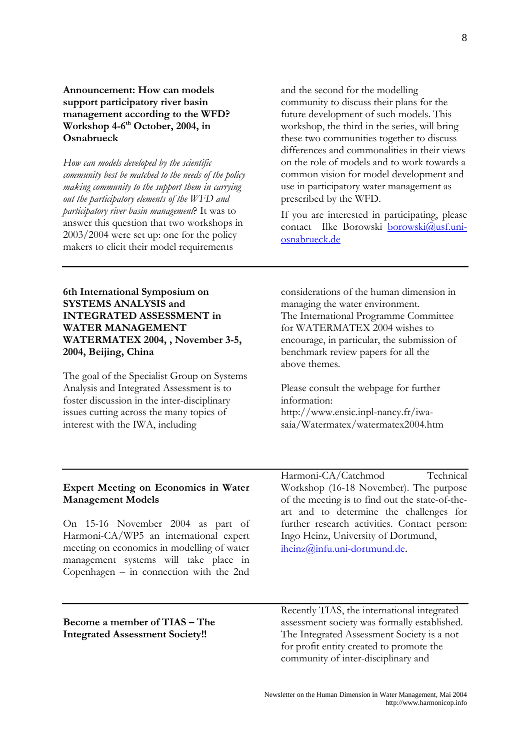# **Announcement: How can models** support participatory river basin management according to the WFD? Workshop 4-6<sup>th</sup> October, 2004, in Osnabrueck

How can models developed by the scientific community best be matched to the needs of the policy making community to the support them in carrying out the participatory elements of the WFD and participatory river basin management? It was to answer this question that two workshops in  $2003/2004$  were set up: one for the policy makers to elicit their model requirements

and the second for the modelling community to discuss their plans for the future development of such models. This workshop, the third in the series, will bring these two communities together to discuss differences and commonalities in their views on the role of models and to work towards a common vision for model development and use in participatory water management as prescribed by the WFD.

If you are interested in participating, please contact Ilke Borowski borowski@usf.uniosnabrueck.de

6th International Symposium on **SYSTEMS ANALYSIS and INTEGRATED ASSESSMENT in WATER MANAGEMENT** WATERMATEX 2004, , November 3-5, 2004, Beijing, China

The goal of the Specialist Group on Systems Analysis and Integrated Assessment is to foster discussion in the inter-disciplinary issues cutting across the many topics of interest with the IWA, including

considerations of the human dimension in managing the water environment. The International Programme Committee for WATERMATEX 2004 wishes to encourage, in particular, the submission of benchmark review papers for all the above themes.

Please consult the webpage for further information: http://www.ensic.inpl-nancy.fr/iwa-

saia/Watermatex/watermatex2004.htm

### **Expert Meeting on Economics in Water Management Models**

On 15-16 November 2004 as part of Harmoni-CA/WP5 an international expert meeting on economics in modelling of water management systems will take place in Copenhagen  $-$  in connection with the 2nd

Harmoni-CA/Catchmod Technical Workshop (16-18 November). The purpose of the meeting is to find out the state-of-theart and to determine the challenges for further research activities. Contact person: Ingo Heinz, University of Dortmund, iheinz@infu.uni-dortmund.de.

#### Become a member of TIAS – The **Integrated Assessment Society!!**

Recently TIAS, the international integrated assessment society was formally established. The Integrated Assessment Society is a not for profit entity created to promote the community of inter-disciplinary and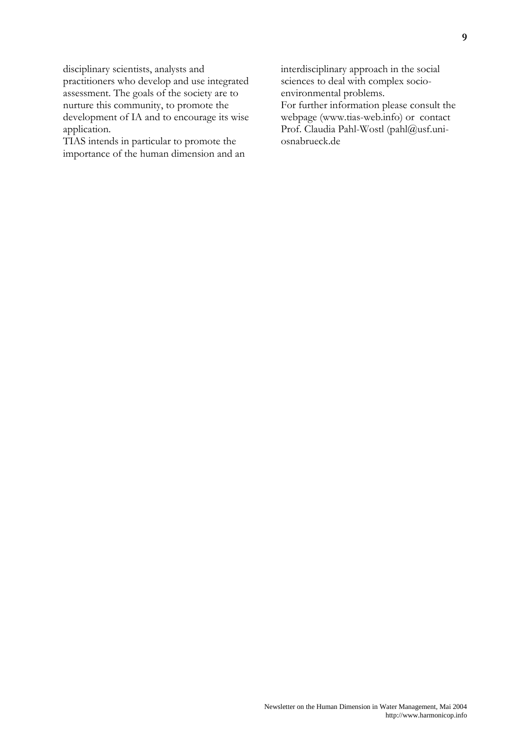disciplinary scientists, analysts and practitioners who develop and use integrated assessment. The goals of the society are to nurture this community, to promote the development of IA and to encourage its wise application.

TIAS intends in particular to promote the importance of the human dimension and an interdisciplinary approach in the social sciences to deal with complex socioenvironmental problems.

For further information please consult the webpage (www.tias-web.info) or contact Prof. Claudia Pahl-Wostl (pahl@usf.uniosnabrueck.de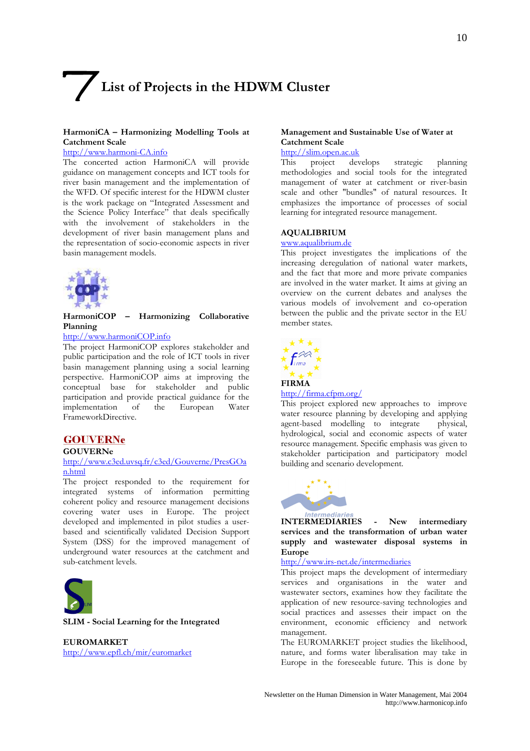# List of Projects in the HDWM Cluster

#### HarmoniCA - Harmonizing Modelling Tools at **Catchment Scale**

#### http://www.harmoni-CA.info

The concerted action HarmoniCA will provide guidance on management concepts and ICT tools for river basin management and the implementation of the WFD. Of specific interest for the HDWM cluster is the work package on "Integrated Assessment and the Science Policy Interface" that deals specifically with the involvement of stakeholders in the development of river basin management plans and the representation of socio-economic aspects in river basin management models.



HarmoniCOP - Harmonizing Collaborative Planning

#### http://www.harmoniCOP.info

The project HarmoniCOP explores stakeholder and public participation and the role of ICT tools in river basin management planning using a social learning perspective. HarmoniCOP aims at improving the conceptual base for stakeholder and public participation and provide practical guidance for the implementation of the European Water FrameworkDirective.

#### **GOUVERNe**

#### **GOUVERNe**

#### http://www.c3ed.uvsq.fr/c3ed/Gouverne/PresGOa n.html

The project responded to the requirement for integrated systems of information permitting coherent policy and resource management decisions covering water uses in Europe. The project developed and implemented in pilot studies a userbased and scientifically validated Decision Support System (DSS) for the improved management of underground water resources at the catchment and sub-catchment levels.



SLIM - Social Learning for the Integrated

**EUROMARKET** http://www.epfl.ch/mir/euromarket

#### Management and Sustainable Use of Water at **Catchment Scale**

#### http://slim.open.ac.uk

This project develops strategic planning methodologies and social tools for the integrated management of water at catchment or river-basin scale and other "bundles" of natural resources. It emphasizes the importance of processes of social learning for integrated resource management.

#### **AQUALIBRIUM**

#### www.aqualibrium.de

This project investigates the implications of the increasing deregulation of national water markets, and the fact that more and more private companies are involved in the water market. It aims at giving an overview on the current debates and analyses the various models of involvement and co-operation between the public and the private sector in the EU member states.



#### $http://firma.cfpm.org/$

This project explored new approaches to improve water resource planning by developing and applying agent-based modelling to integrate physical, hydrological, social and economic aspects of water resource management. Specific emphasis was given to stakeholder participation and participatory model building and scenario development.



**INTERMEDIARIES** New intermediary  $\mathbf{r}$ services and the transformation of urban water supply and wastewater disposal systems in **Europe** 

http://www.irs-net.de/intermediaries

This project maps the development of intermediary services and organisations in the water and wastewater sectors, examines how they facilitate the application of new resource-saving technologies and social practices and assesses their impact on the environment, economic efficiency and network management.

The EUROMARKET project studies the likelihood, nature, and forms water liberalisation may take in Europe in the foreseeable future. This is done by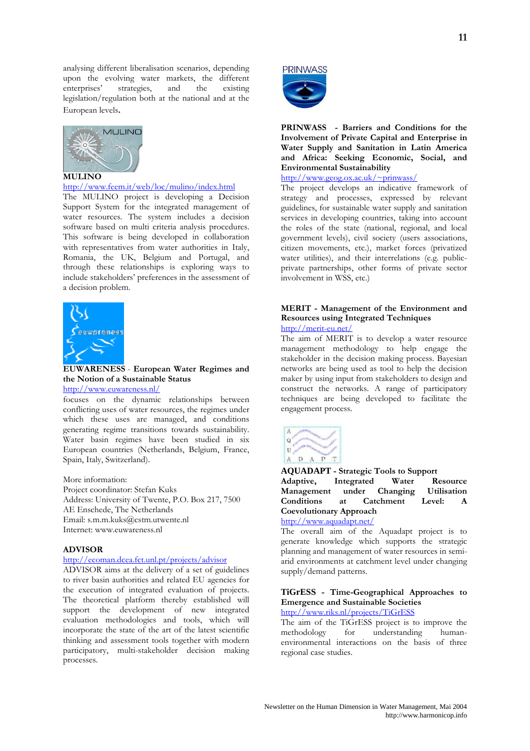analysing different liberalisation scenarios, depending upon the evolving water markets, the different enterprises' strategies, and the existing legislation/regulation both at the national and at the European levels.



#### **MULINO**

http://www.feem.it/web/loc/mulino/index.html

The MULINO project is developing a Decision Support System for the integrated management of water resources. The system includes a decision software based on multi criteria analysis procedures. This software is being developed in collaboration with representatives from water authorities in Italy, Romania, the UK, Belgium and Portugal, and through these relationships is exploring ways to include stakeholders' preferences in the assessment of a decision problem.



**EUWARENESS** - European Water Regimes and the Notion of a Sustainable Status http://www.euwareness.nl/

focuses on the dynamic relationships between conflicting uses of water resources, the regimes under which these uses are managed, and conditions generating regime transitions towards sustainability. Water basin regimes have been studied in six European countries (Netherlands, Belgium, France, Spain, Italy, Switzerland).

More information: Project coordinator: Stefan Kuks Address: University of Twente, P.O. Box 217, 7500 AE Enschede, The Netherlands Email: s.m.m.kuks@cstm.utwente.nl Internet: www.euwareness.nl

#### **ADVISOR**

#### http://ecoman.dcea.fct.unl.pt/projects/advisor

ADVISOR aims at the delivery of a set of guidelines to river basin authorities and related EU agencies for the execution of integrated evaluation of projects. The theoretical platform thereby established will support the development of new integrated evaluation methodologies and tools, which will incorporate the state of the art of the latest scientific thinking and assessment tools together with modern participatory, multi-stakeholder decision making processes.



PRINWASS - Barriers and Conditions for the Involvement of Private Capital and Enterprise in Water Supply and Sanitation in Latin America and Africa: Seeking Economic, Social, and **Environmental Sustainability** 

 $http://www.geog.ox.ac.uk/~prinwass/$ 

The project develops an indicative framework of strategy and processes, expressed by relevant guidelines, for sustainable water supply and sanitation services in developing countries, taking into account the roles of the state (national, regional, and local government levels), civil society (users associations, citizen movements, etc.), market forces (privatized water utilities), and their interrelations (e.g. publicprivate partnerships, other forms of private sector involvement in WSS, etc.)

#### MERIT - Management of the Environment and **Resources using Integrated Techniques** http://merit-eu.net/

The aim of MERIT is to develop a water resource management methodology to help engage the stakeholder in the decision making process. Bayesian networks are being used as tool to help the decision maker by using input from stakeholders to design and construct the networks. A range of participatory techniques are being developed to facilitate the engagement process.



**AQUADAPT** - Strategic Tools to Support Adaptive. Integrated Water Resource Management under Changing **Utilisation Conditions** <sub>at</sub> Catchment  $I_{evel}$ **Coevolutionary Approach** 

# http://www.aquadapt.net/

The overall aim of the Aquadapt project is to generate knowledge which supports the strategic planning and management of water resources in semiarid environments at catchment level under changing supply/demand patterns.

### TiGrESS - Time-Geographical Approaches to **Emergence and Sustainable Societies**

http://www.riks.nl/projects/TiGrESS

The aim of the TiGrESS project is to improve the methodology  $for$ understanding  $h$ <sup>1</sup> environmental interactions on the basis of three regional case studies.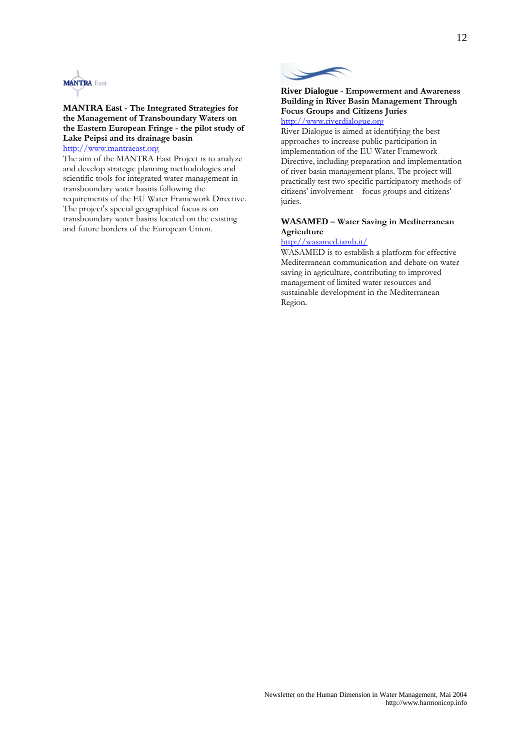

**MANTRA East - The Integrated Strategies for** the Management of Transboundary Waters on the Eastern European Fringe - the pilot study of Lake Peipsi and its drainage basin http://www.mantraeast.org

The aim of the MANTRA East Project is to analyze and develop strategic planning methodologies and scientific tools for integrated water management in transboundary water basins following the requirements of the EU Water Framework Directive. The project's special geographical focus is on transboundary water basins located on the existing and future borders of the European Union.



#### **River Dialogue - Empowerment and Awareness** Building in River Basin Management Through **Focus Groups and Citizens Juries** http://www.riverdialogue.org

River Dialogue is aimed at identifying the best approaches to increase public participation in implementation of the EU Water Framework Directive, including preparation and implementation of river basin management plans. The project will practically test two specific participatory methods of citizens' involvement – focus groups and citizens' juries.

#### **WASAMED - Water Saving in Mediterranean** Agriculture

#### http://wasamed.iamb.it/

WASAMED is to establish a platform for effective Mediterranean communication and debate on water saving in agriculture, contributing to improved management of limited water resources and sustainable development in the Mediterranean Region.